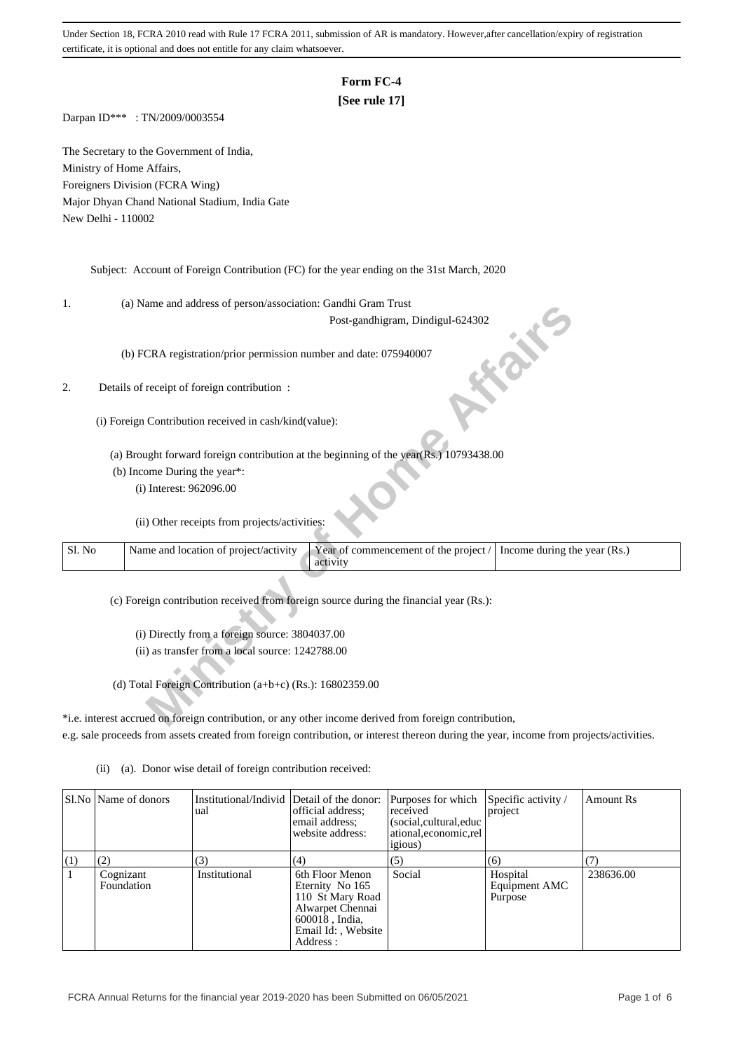# **Form FC-4**

## **[See rule 17]**

Darpan ID\*\*\* : TN/2009/0003554

The Secretary to the Government of India, Ministry of Home Affairs, Foreigners Division (FCRA Wing) Major Dhyan Chand National Stadium, India Gate New Delhi - 110002

Subject: Account of Foreign Contribution (FC) for the year ending on the 31st March, 2020

1. (a) Name and address of person/association: Gandhi Gram Trust

### 2. Details of receipt of foreign contribution :

- (b) Income During the year\*:
	- (i) Interest: 962096.00

| ı.     | (a) ivalify and address of person/association. Gandin Grain Trust                                                          |
|--------|----------------------------------------------------------------------------------------------------------------------------|
|        | Post-gandhigram, Dindigul-624302                                                                                           |
|        | (b) FCRA registration/prior permission number and date: 075940007                                                          |
| 2.     | Details of receipt of foreign contribution :                                                                               |
|        | (i) Foreign Contribution received in cash/kind(value):                                                                     |
|        | (a) Brought forward foreign contribution at the beginning of the year(Rs.) 10793438.00                                     |
|        | (b) Income During the year*:                                                                                               |
|        | (i) Interest: 962096.00                                                                                                    |
|        | (ii) Other receipts from projects/activities:                                                                              |
| Sl. No | Name and location of project/activity<br>Year of commencement of the project /<br>Income during the year (Rs.)<br>activity |
|        | (c) Foreign contribution received from foreign source during the financial year (Rs.):                                     |
|        |                                                                                                                            |
|        | (i) Directly from a foreign source: 3804037.00                                                                             |
|        |                                                                                                                            |
|        | (ii) as transfer from a local source: 1242788.00                                                                           |
|        | (d) Total Foreign Contribution (a+b+c) (Rs.): $16802359.00$                                                                |
|        |                                                                                                                            |
|        | *i.e. interest accrued on foreign contribution, or any other income derived from foreign contribution,                     |
|        |                                                                                                                            |

\*i.e. interest accrued on foreign contribution, or any other income derived from foreign contribution, e.g. sale proceeds from assets created from foreign contribution, or interest thereon during the year, income from projects/activities.

|     | Sl.No   Name of donors  | Institutional/Individ Detail of the donor:<br>ual | official address;<br>email address;<br>website address:                                                                         | Purposes for which<br>received<br>(social, cultural, educ<br>ational, economic, rel<br><i>igious</i> ) | Specific activity /<br>project       | Amount Rs |
|-----|-------------------------|---------------------------------------------------|---------------------------------------------------------------------------------------------------------------------------------|--------------------------------------------------------------------------------------------------------|--------------------------------------|-----------|
| (1) | (2)                     | (3)                                               | (4)                                                                                                                             | (5)                                                                                                    | (6)                                  |           |
| 1   | Cognizant<br>Foundation | Institutional                                     | 6th Floor Menon<br>Eternity No 165<br>110 St Mary Road<br>Alwarpet Chennai<br>600018, India,<br>Email Id:, Website<br>Address : | Social                                                                                                 | Hospital<br>Equipment AMC<br>Purpose | 238636.00 |

(ii) (a). Donor wise detail of foreign contribution received: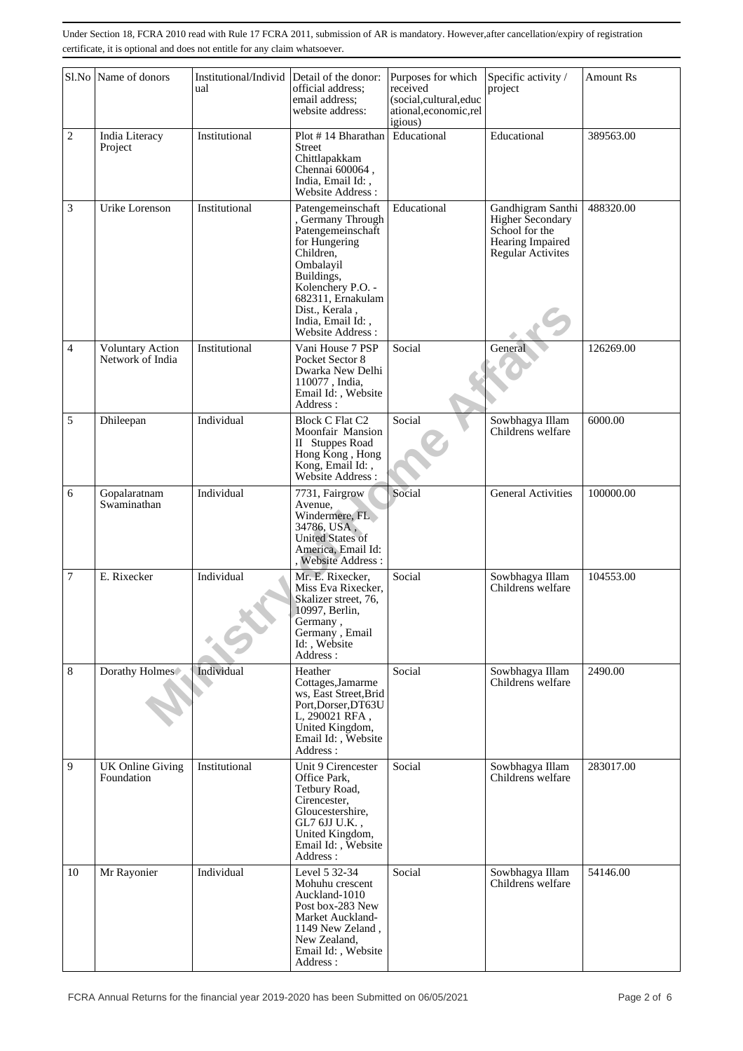|                | Sl.No Name of donors                        | Institutional/Individ<br>ual | Detail of the donor:<br>official address;<br>email address:<br>website address:                                                                                                                                           | Purposes for which<br>received<br>(social,cultural,educ<br>ational, economic, rel<br>igious) | Specific activity /<br>project                                                                   | <b>Amount Rs</b> |
|----------------|---------------------------------------------|------------------------------|---------------------------------------------------------------------------------------------------------------------------------------------------------------------------------------------------------------------------|----------------------------------------------------------------------------------------------|--------------------------------------------------------------------------------------------------|------------------|
| $\overline{c}$ | India Literacy<br>Project                   | Institutional                | Plot #14 Bharathan<br>Street<br>Chittlapakkam<br>Chennai 600064,<br>India, Email Id:,<br>Website Address:                                                                                                                 | Educational                                                                                  | Educational                                                                                      | 389563.00        |
| 3              | Urike Lorenson                              | Institutional                | Patengemeinschaft<br>, Germany Through<br>Patengemeinschaft<br>for Hungering<br>Children.<br>Ombalayil<br>Buildings,<br>Kolenchery P.O. -<br>682311, Ernakulam<br>Dist., Kerala,<br>India, Email Id:,<br>Website Address: | Educational                                                                                  | Gandhigram Santhi<br>Higher Secondary<br>School for the<br>Hearing Impaired<br>Regular Activites | 488320.00        |
| 4              | <b>Voluntary Action</b><br>Network of India | Institutional                | Vani House 7 PSP<br>Pocket Sector 8<br>Dwarka New Delhi<br>110077, India,<br>Email Id:, Website<br>Address:                                                                                                               | Social                                                                                       | General                                                                                          | 126269.00        |
| 5              | Dhileepan                                   | Individual                   | <b>Block C Flat C2</b><br>Moonfair Mansion<br>II Stuppes Road<br>Hong Kong, Hong<br>Kong, Email Id:,<br>Website Address:                                                                                                  | Social                                                                                       | Sowbhagya Illam<br>Childrens welfare                                                             | 6000.00          |
| 6              | Gopalaratnam<br>Swaminathan                 | Individual                   | 7731, Fairgrow<br>Avenue,<br>Windermere, FL<br>34786, USA,<br><b>United States of</b><br>America, Email Id:<br>, Website Address :                                                                                        | Social                                                                                       | <b>General Activities</b>                                                                        | 100000.00        |
| 7              | E. Rixecker                                 | Individual                   | Mr. E. Rixecker,<br>Miss Eva Rixecker,<br>Skalizer street, 76,<br>10997, Berlin,<br>Germany,<br>Germany, Email<br>Id: Website<br>Address:                                                                                 | Social                                                                                       | Sowbhagya Illam<br>Childrens welfare                                                             | 104553.00        |
| 8              | Dorathy Holmes                              | Individual                   | Heather<br>Cottages, Jamarme<br>ws, East Street, Brid<br>Port, Dorser, DT63U<br>L, 290021 RFA,<br>United Kingdom,<br>Email Id:, Website<br>Address:                                                                       | Social                                                                                       | Sowbhagya Illam<br>Childrens welfare                                                             | 2490.00          |
| 9              | UK Online Giving<br>Foundation              | Institutional                | Unit 9 Cirencester<br>Office Park,<br>Tetbury Road,<br>Cirencester,<br>Gloucestershire,<br>GL7 6JJ U.K.,<br>United Kingdom,<br>Email Id:, Website<br>Address:                                                             | Social                                                                                       | Sowbhagya Illam<br>Childrens welfare                                                             | 283017.00        |
| 10             | Mr Rayonier                                 | Individual                   | Level 5 32-34<br>Mohuhu crescent<br>Auckland-1010<br>Post box-283 New<br>Market Auckland-<br>1149 New Zeland,<br>New Zealand,<br>Email Id:, Website<br>Address:                                                           | Social                                                                                       | Sowbhagya Illam<br>Childrens welfare                                                             | 54146.00         |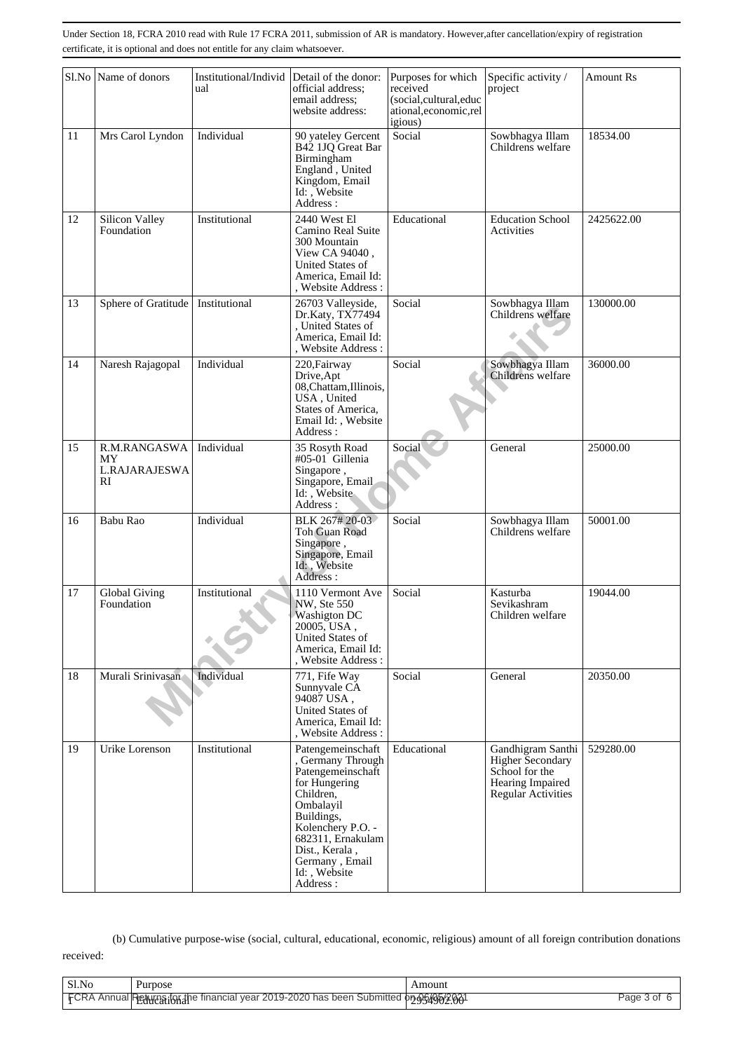|    | Sl.No Name of donors                      | Institutional/Individ<br>ual | Detail of the donor:<br>official address;<br>email address;<br>website address:                                                                                                                                                | Purposes for which<br>received<br>(social,cultural,educ<br>ational, economic, rel<br>igious) | Specific activity /<br>project                                                                           | <b>Amount Rs</b> |
|----|-------------------------------------------|------------------------------|--------------------------------------------------------------------------------------------------------------------------------------------------------------------------------------------------------------------------------|----------------------------------------------------------------------------------------------|----------------------------------------------------------------------------------------------------------|------------------|
| 11 | Mrs Carol Lyndon                          | Individual                   | 90 yateley Gercent<br>B42 1JQ Great Bar<br>Birmingham<br>England, United<br>Kingdom, Email<br>Id: Website<br>Address:                                                                                                          | Social                                                                                       | Sowbhagya Illam<br>Childrens welfare                                                                     | 18534.00         |
| 12 | Silicon Valley<br>Foundation              | Institutional                | 2440 West El<br>Camino Real Suite<br>300 Mountain<br>View CA 94040,<br>United States of<br>America, Email Id:<br>, Website Address:                                                                                            | Educational                                                                                  | <b>Education School</b><br>Activities                                                                    | 2425622.00       |
| 13 | Sphere of Gratitude   Institutional       |                              | 26703 Valleyside,<br>Dr.Katy, TX77494<br>, United States of<br>America, Email Id:<br>, Website Address :                                                                                                                       | Social                                                                                       | Sowbhagya Illam<br>Childrens welfare                                                                     | 130000.00        |
| 14 | Naresh Rajagopal                          | Individual                   | 220, Fairway<br>Drive, Apt<br>08, Chattam, Illinois,<br>USA, United<br>States of America,<br>Email Id:, Website<br>Address:                                                                                                    | Social                                                                                       | Sowbhagya Illam<br>Childrens welfare                                                                     | 36000.00         |
| 15 | R.M.RANGASWA<br>MY<br>L.RAJARAJESWA<br>RI | Individual                   | 35 Rosyth Road<br>#05-01 Gillenia<br>Singapore,<br>Singapore, Email<br>Id: , Website<br>Address:                                                                                                                               | Social                                                                                       | General                                                                                                  | 25000.00         |
| 16 | Babu Rao                                  | Individual                   | BLK 267#20-03<br>Toh Guan Road<br>Singapore,<br>Singapore, Email<br>Id: Website<br>Address:                                                                                                                                    | Social                                                                                       | Sowbhagya Illam<br>Childrens welfare                                                                     | 50001.00         |
| 17 | Global Giving<br>Foundation               | Institutional                | 1110 Vermont Ave<br>NW, Ste 550<br><b>Washigton DC</b><br>20005, USA,<br>United States of<br>America, Email Id:<br>. Website Address:                                                                                          | Social                                                                                       | Kasturba<br>Sevikashram<br>Children welfare                                                              | 19044.00         |
| 18 | Murali Srinivasan                         | Individual                   | 771, Fife Way<br>Sunnyvale CA<br>94087 USA,<br>United States of<br>America, Email Id:<br>, Website Address :                                                                                                                   | Social                                                                                       | General                                                                                                  | 20350.00         |
| 19 | Urike Lorenson                            | Institutional                | Patengemeinschaft<br>, Germany Through<br>Patengemeinschaft<br>for Hungering<br>Children,<br>Ombalayil<br>Buildings,<br>Kolenchery P.O. -<br>682311, Ernakulam<br>Dist., Kerala,<br>Germany, Email<br>Id:, Website<br>Address: | Educational                                                                                  | Gandhigram Santhi<br><b>Higher Secondary</b><br>School for the<br>Hearing Impaired<br>Regular Activities | 529280.00        |

 (b) Cumulative purpose-wise (social, cultural, educational, economic, religious) amount of all foreign contribution donations received:

Sl.No Purpose Amount FCRA Annual Returns for the financial year 2019-2020 has been Submitted on 05/05/06/2001 Page 3 of 6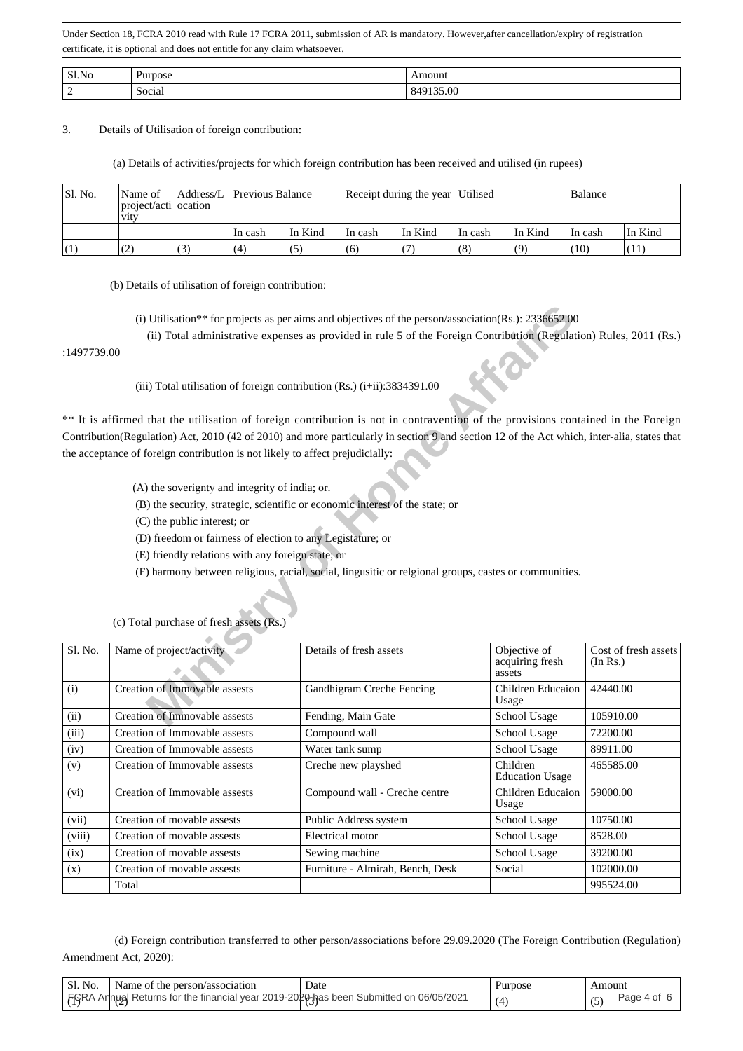| $C1$ N<br>-No<br>. ا د |                     | ור:      |
|------------------------|---------------------|----------|
| ∽<br>-                 | $\cdot$ .<br>Social | $\alpha$ |

3. Details of Utilisation of foreign contribution:

(a) Details of activities/projects for which foreign contribution has been received and utilised (in rupees)

| Sl. No. | Name of<br>project/acti ocation<br><b>V1tV</b> | Address/L Previous Balance |         | Receipt during the year Utilised |         |          |         | Balance |         |
|---------|------------------------------------------------|----------------------------|---------|----------------------------------|---------|----------|---------|---------|---------|
|         |                                                | In cash                    | In Kind | In cash                          | In Kind | ∣In cash | In Kind | In cash | In Kind |
| (1)     | (2)                                            | (4)                        | (5)     | (6)                              |         | (8)      | (9)     | (10)    | (11)    |

(b) Details of utilisation of foreign contribution:

|         | (i) Utilisation** for projects as per aims and objectives of the person/association(Rs.): $2336652.00$<br>(ii) Total administrative expenses as provided in rule 5 of the Foreign Contribution (Regulation) Rules, 2011 (Rs.)<br>:1497739.00 |                                                                                                                                                                                                                                                                                  |                                           |                                  |  |  |  |  |
|---------|----------------------------------------------------------------------------------------------------------------------------------------------------------------------------------------------------------------------------------------------|----------------------------------------------------------------------------------------------------------------------------------------------------------------------------------------------------------------------------------------------------------------------------------|-------------------------------------------|----------------------------------|--|--|--|--|
|         | (iii) Total utilisation of foreign contribution (Rs.) $(i+ii)$ : 3834391.00                                                                                                                                                                  |                                                                                                                                                                                                                                                                                  |                                           |                                  |  |  |  |  |
|         |                                                                                                                                                                                                                                              | ** It is affirmed that the utilisation of foreign contribution is not in contravention of the provisions contained in the Foreign<br>Contribution(Regulation) Act, 2010 (42 of 2010) and more particularly in section 9 and section 12 of the Act which, inter-alia, states that |                                           |                                  |  |  |  |  |
|         | the acceptance of foreign contribution is not likely to affect prejudicially:                                                                                                                                                                |                                                                                                                                                                                                                                                                                  |                                           |                                  |  |  |  |  |
|         | (A) the soverignty and integrity of india; or.                                                                                                                                                                                               |                                                                                                                                                                                                                                                                                  |                                           |                                  |  |  |  |  |
|         |                                                                                                                                                                                                                                              | (B) the security, strategic, scientific or economic interest of the state; or                                                                                                                                                                                                    |                                           |                                  |  |  |  |  |
|         | (C) the public interest; or                                                                                                                                                                                                                  |                                                                                                                                                                                                                                                                                  |                                           |                                  |  |  |  |  |
|         | (D) freedom or fairness of election to any Legistature; or                                                                                                                                                                                   |                                                                                                                                                                                                                                                                                  |                                           |                                  |  |  |  |  |
|         | (E) friendly relations with any foreign state; or                                                                                                                                                                                            |                                                                                                                                                                                                                                                                                  |                                           |                                  |  |  |  |  |
|         |                                                                                                                                                                                                                                              | (F) harmony between religious, racial, social, lingusitic or relgional groups, castes or communities.                                                                                                                                                                            |                                           |                                  |  |  |  |  |
|         | (c) Total purchase of fresh assets (Rs.)                                                                                                                                                                                                     |                                                                                                                                                                                                                                                                                  |                                           |                                  |  |  |  |  |
| Sl. No. | Name of project/activity                                                                                                                                                                                                                     | Details of fresh assets                                                                                                                                                                                                                                                          | Objective of<br>acquiring fresh<br>assets | Cost of fresh assets<br>(In Rs.) |  |  |  |  |
| (i)     | <b>Creation of Immovable assests</b>                                                                                                                                                                                                         | Gandhigram Creche Fencing                                                                                                                                                                                                                                                        | Children Educaion<br>Usage                | 42440.00                         |  |  |  |  |
| (ii)    | <b>Creation of Immovable assests</b>                                                                                                                                                                                                         | Fending, Main Gate                                                                                                                                                                                                                                                               | School Usage                              | 105910.00                        |  |  |  |  |
| (iii)   | Creation of Immovable assests                                                                                                                                                                                                                | Compound wall                                                                                                                                                                                                                                                                    | School Usage                              | 72200.00                         |  |  |  |  |
| (iv)    | Creation of Immovable assests                                                                                                                                                                                                                | Water tank sump                                                                                                                                                                                                                                                                  | School Usage                              | 89911.00                         |  |  |  |  |
| (v)     | Creation of Immovable assests                                                                                                                                                                                                                | Creche new playshed                                                                                                                                                                                                                                                              | Children<br><b>Education Usage</b>        | 465585.00                        |  |  |  |  |
| (vi)    | Creation of Immovable assests                                                                                                                                                                                                                | Compound wall - Creche centre                                                                                                                                                                                                                                                    | Children Educaion<br>Usage                | 59000.00                         |  |  |  |  |
| (vii)   | Creation of movable assests                                                                                                                                                                                                                  | Public Address system                                                                                                                                                                                                                                                            | School Usage                              | 10750.00                         |  |  |  |  |
| (viii)  | Creation of movable assests                                                                                                                                                                                                                  | Electrical motor                                                                                                                                                                                                                                                                 | School Usage                              | 8528.00                          |  |  |  |  |
| (ix)    | Creation of movable assests                                                                                                                                                                                                                  | Sewing machine                                                                                                                                                                                                                                                                   | School Usage                              | 39200.00                         |  |  |  |  |
| (x)     | Creation of movable assests                                                                                                                                                                                                                  | Furniture - Almirah, Bench, Desk                                                                                                                                                                                                                                                 | Social                                    | 102000.00                        |  |  |  |  |
|         | Total                                                                                                                                                                                                                                        |                                                                                                                                                                                                                                                                                  |                                           | 995524.00                        |  |  |  |  |

 (d) Foreign contribution transferred to other person/associations before 29.09.2020 (The Foreign Contribution (Regulation) Amendment Act, 2020):

| ' Sl. No. | Name of the person/association                                                        | Date | Purpose | Amount       |
|-----------|---------------------------------------------------------------------------------------|------|---------|--------------|
|           | FGRA Annual Returns for the financial year 2019-2020 has been Submitted on 06/05/2021 |      |         | Page<br>4 of |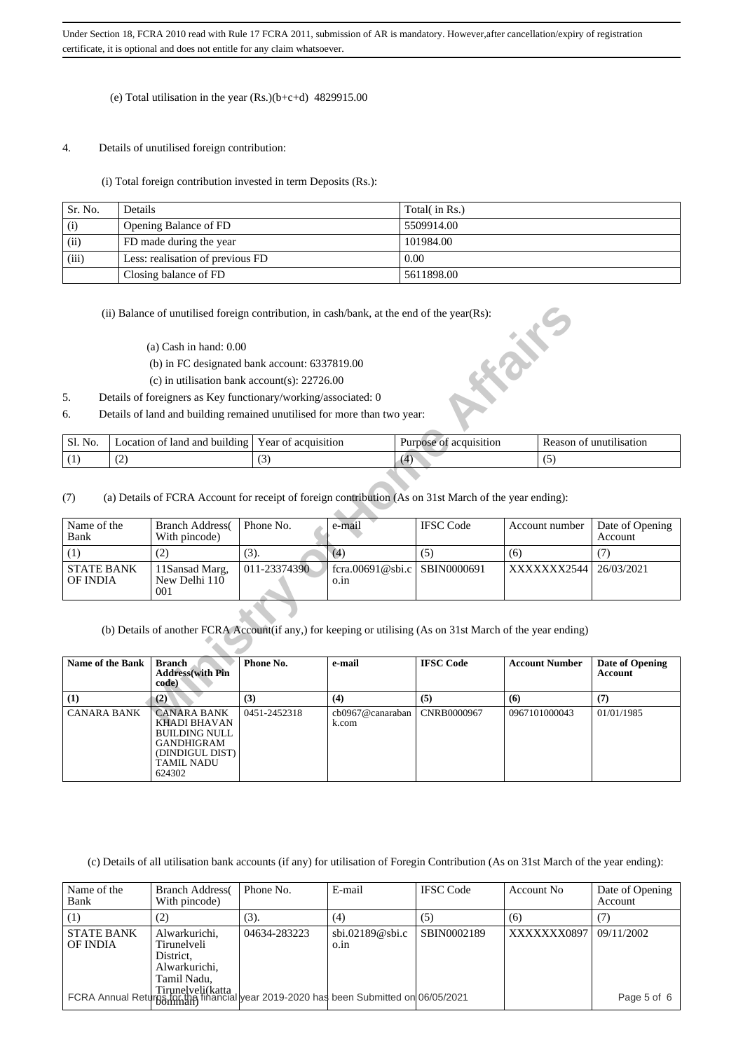#### (e) Total utilisation in the year (Rs.)(b+c+d) 4829915.00

#### 4. Details of unutilised foreign contribution:

(i) Total foreign contribution invested in term Deposits (Rs.):

| Sr. No. | Details                          | Total( in Rs.) |
|---------|----------------------------------|----------------|
| (i)     | Opening Balance of FD            | 5509914.00     |
| (ii)    | FD made during the year          | 101984.00      |
| (iii)   | Less: realisation of previous FD | 0.00           |
|         | Closing balance of FD            | 5611898.00     |

- (a) Cash in hand: 0.00
- (b) in FC designated bank account: 6337819.00
- (c) in utilisation bank account(s): 22726.00
- 5. Details of foreigners as Key functionary/working/associated: 0
- 6. Details of land and building remained unutilised for more than two year:

| $\overline{\phantom{a}}$<br>ے ،<br>$\sim$<br>$\cdot$ | C1<br>N <sub>0</sub><br>ЭI. | $\cdots$<br>land<br>l and<br>building<br>ocation<br>ΩŤ | ear<br>acquisition<br>'ΩT | acquisition<br>$\Omega$<br>urpose | Reason<br>1sat10n |
|------------------------------------------------------|-----------------------------|--------------------------------------------------------|---------------------------|-----------------------------------|-------------------|
|                                                      |                             |                                                        |                           |                                   |                   |

|                                                                                                             |                  | (ii) Balance of unutilised foreign contribution, in cash/bank, at the end of the year(Rs):                                                       |                     |                           |                        | <b>HEAT</b>           |                                   |  |  |
|-------------------------------------------------------------------------------------------------------------|------------------|--------------------------------------------------------------------------------------------------------------------------------------------------|---------------------|---------------------------|------------------------|-----------------------|-----------------------------------|--|--|
|                                                                                                             |                  | $(a)$ Cash in hand: $0.00$                                                                                                                       |                     |                           |                        |                       |                                   |  |  |
|                                                                                                             |                  | (b) in FC designated bank account: 6337819.00                                                                                                    |                     |                           |                        |                       |                                   |  |  |
|                                                                                                             |                  | (c) in utilisation bank account(s): $22726.00$                                                                                                   |                     |                           |                        |                       |                                   |  |  |
| 5.                                                                                                          |                  | Details of foreigners as Key functionary/working/associated: 0                                                                                   |                     |                           |                        |                       |                                   |  |  |
| 6.                                                                                                          |                  | Details of land and building remained unutilised for more than two year:                                                                         |                     |                           |                        |                       |                                   |  |  |
|                                                                                                             |                  |                                                                                                                                                  |                     |                           |                        |                       |                                   |  |  |
| Sl. No.                                                                                                     |                  | Location of land and building                                                                                                                    | Year of acquisition |                           | Purpose of acquisition |                       | Reason of unutilisation           |  |  |
| (1)                                                                                                         | (2)              |                                                                                                                                                  | (3)                 | (4)                       |                        | (5)                   |                                   |  |  |
| (7)<br>Name of the<br>Bank                                                                                  |                  | (a) Details of FCRA Account for receipt of foreign contribution (As on 31st March of the year ending):<br><b>Branch Address</b><br>With pincode) | Phone No.           | e-mail                    | <b>IFSC Code</b>       | Account number<br>(6) | Date of Opening<br>Account        |  |  |
| (1)                                                                                                         |                  | (2)                                                                                                                                              | (3).                | (4)                       | (5)                    |                       | (7)                               |  |  |
| <b>STATE BANK</b><br><b>OF INDIA</b>                                                                        |                  | 11Sansad Marg,<br>New Delhi $110$<br>001                                                                                                         | 011-23374390        | fcra.00691@sbi.c<br>o.in  | SBIN0000691            | XXXXXXX2544           | 26/03/2021                        |  |  |
| (b) Details of another FCRA Account(if any,) for keeping or utilising (As on 31st March of the year ending) |                  |                                                                                                                                                  |                     |                           |                        |                       |                                   |  |  |
|                                                                                                             | Name of the Bank | <b>Branch</b><br><b>Address</b> (with Pin<br>code)                                                                                               | Phone No.           | e-mail                    | <b>IFSC Code</b>       | <b>Account Number</b> | Date of Opening<br><b>Account</b> |  |  |
| (1)                                                                                                         |                  | (2)                                                                                                                                              | (3)                 | (4)                       | (5)                    | (6)                   | (7)                               |  |  |
| <b>CANARA BANK</b>                                                                                          |                  | <b>CANARA BANK</b><br>KHADI BHAVAN                                                                                                               | 0451-2452318        | cb0967@canaraban<br>k.com | CNRB0000967            | 0967101000043         | 01/01/1985                        |  |  |

(b) Details of another FCRA Account(if any,) for keeping or utilising (As on 31st March of the year ending)

| <b>Name of the Bank</b> | <b>Branch</b><br><b>Address</b> (with Pin<br>code)                                                                  | Phone No.    | e-mail                    | <b>IFSC Code</b> | <b>Account Number</b> | Date of Opening<br>Account |
|-------------------------|---------------------------------------------------------------------------------------------------------------------|--------------|---------------------------|------------------|-----------------------|----------------------------|
| (1)                     | (2)                                                                                                                 | (3)          | (4)                       | (5)              | (6)                   | (7)                        |
| CANARA BANK             | <b>CANARA BANK</b><br>KHADI BHAVAN<br>BUILDING NULL<br><b>GANDHIGRAM</b><br>(DINDIGUL DIST)<br>TAMIL NADU<br>624302 | 0451-2452318 | cb0967@canaraban<br>k.com | CNRB0000967      | 0967101000043         | 01/01/1985                 |

(c) Details of all utilisation bank accounts (if any) for utilisation of Foregin Contribution (As on 31st March of the year ending):

| Name of the<br>Bank           | <b>Branch Address</b><br>With pincode)                                    | Phone No.                                                                                                                                   | E-mail                           | <b>IFSC</b> Code | Account No. | Date of Opening<br><b>Account</b> |
|-------------------------------|---------------------------------------------------------------------------|---------------------------------------------------------------------------------------------------------------------------------------------|----------------------------------|------------------|-------------|-----------------------------------|
| (1)                           | (2)                                                                       | (3).                                                                                                                                        | (4)                              | (5)              | (6)         |                                   |
| <b>STATE BANK</b><br>OF INDIA | Alwarkurichi,<br>Tirunelveli<br>District.<br>Alwarkurichi.<br>Tamil Nadu, | 04634-283223                                                                                                                                | $\text{sbi.02189@sbi.c}$<br>0.1n | SBIN0002189      | XXXXXXX0897 | 09/11/2002                        |
|                               |                                                                           | <br>  FCRA Annual Return   Tirune veli(katta<br>  FCRA Annual Return   Tirune   Tinancial   year 2019-2020 has been Submitted on 06/05/2021 |                                  |                  |             | Page 5 of 6                       |